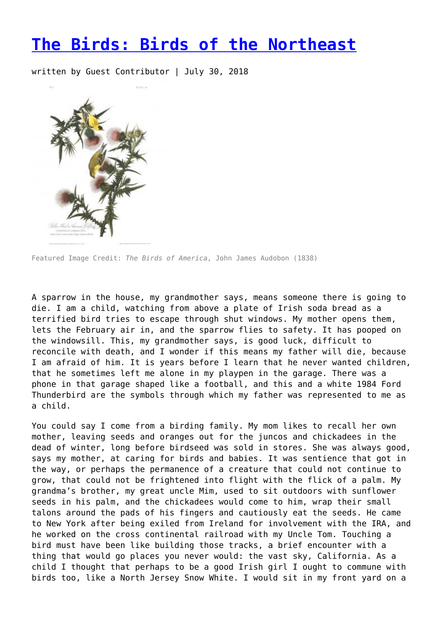## **[The Birds: Birds of the Northeast](https://entropymag.org/the-birds-birds-of-the-northeast/)**

written by Guest Contributor | July 30, 2018



Featured Image Credit: *The Birds of America*, John James Audobon (1838)

A sparrow in the house, my grandmother says, means someone there is going to die. I am a child, watching from above a plate of Irish soda bread as a terrified bird tries to escape through shut windows. My mother opens them, lets the February air in, and the sparrow flies to safety. It has pooped on the windowsill. This, my grandmother says, is good luck, difficult to reconcile with death, and I wonder if this means my father will die, because I am afraid of him. It is years before I learn that he never wanted children, that he sometimes left me alone in my playpen in the garage. There was a phone in that garage shaped like a football, and this and a white 1984 Ford Thunderbird are the symbols through which my father was represented to me as a child.

You could say I come from a birding family. My mom likes to recall her own mother, leaving seeds and oranges out for the juncos and chickadees in the dead of winter, long before birdseed was sold in stores. She was always good, says my mother, at caring for birds and babies. It was sentience that got in the way, or perhaps the permanence of a creature that could not continue to grow, that could not be frightened into flight with the flick of a palm. My grandma's brother, my great uncle Mim, used to sit outdoors with sunflower seeds in his palm, and the chickadees would come to him, wrap their small talons around the pads of his fingers and cautiously eat the seeds. He came to New York after being exiled from Ireland for involvement with the IRA, and he worked on the cross continental railroad with my Uncle Tom. Touching a bird must have been like building those tracks, a brief encounter with a thing that would go places you never would: the vast sky, California. As a child I thought that perhaps to be a good Irish girl I ought to commune with birds too, like a North Jersey Snow White. I would sit in my front yard on a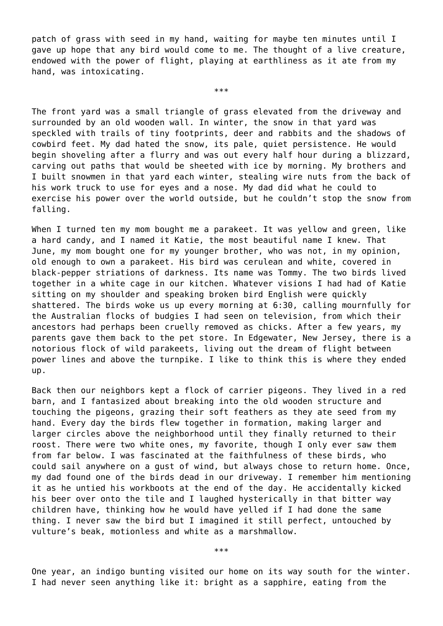patch of grass with seed in my hand, waiting for maybe ten minutes until I gave up hope that any bird would come to me. The thought of a live creature, endowed with the power of flight, playing at earthliness as it ate from my hand, was intoxicating.

\*\*\*

The front yard was a small triangle of grass elevated from the driveway and surrounded by an old wooden wall. In winter, the snow in that yard was speckled with trails of tiny footprints, deer and rabbits and the shadows of cowbird feet. My dad hated the snow, its pale, quiet persistence. He would begin shoveling after a flurry and was out every half hour during a blizzard, carving out paths that would be sheeted with ice by morning. My brothers and I built snowmen in that yard each winter, stealing wire nuts from the back of his work truck to use for eyes and a nose. My dad did what he could to exercise his power over the world outside, but he couldn't stop the snow from falling.

When I turned ten my mom bought me a parakeet. It was yellow and green, like a hard candy, and I named it Katie, the most beautiful name I knew. That June, my mom bought one for my younger brother, who was not, in my opinion, old enough to own a parakeet. His bird was cerulean and white, covered in black-pepper striations of darkness. Its name was Tommy. The two birds lived together in a white cage in our kitchen. Whatever visions I had had of Katie sitting on my shoulder and speaking broken bird English were quickly shattered. The birds woke us up every morning at 6:30, calling mournfully for the Australian flocks of budgies I had seen on television, from which their ancestors had perhaps been cruelly removed as chicks. After a few years, my parents gave them back to the pet store. In Edgewater, New Jersey, there is a notorious flock of wild parakeets, living out the dream of flight between power lines and above the turnpike. I like to think this is where they ended up.

Back then our neighbors kept a flock of carrier pigeons. They lived in a red barn, and I fantasized about breaking into the old wooden structure and touching the pigeons, grazing their soft feathers as they ate seed from my hand. Every day the birds flew together in formation, making larger and larger circles above the neighborhood until they finally returned to their roost. There were two white ones, my favorite, though I only ever saw them from far below. I was fascinated at the faithfulness of these birds, who could sail anywhere on a gust of wind, but always chose to return home. Once, my dad found one of the birds dead in our driveway. I remember him mentioning it as he untied his workboots at the end of the day. He accidentally kicked his beer over onto the tile and I laughed hysterically in that bitter way children have, thinking how he would have yelled if I had done the same thing. I never saw the bird but I imagined it still perfect, untouched by vulture's beak, motionless and white as a marshmallow.

\*\*\*

One year, an indigo bunting visited our home on its way south for the winter. I had never seen anything like it: bright as a sapphire, eating from the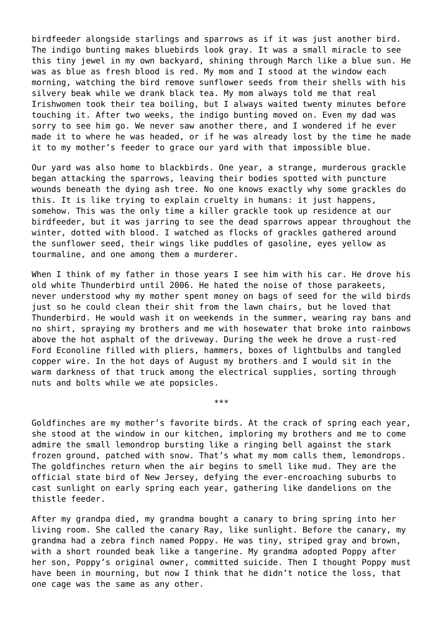birdfeeder alongside starlings and sparrows as if it was just another bird. The indigo bunting makes bluebirds look gray. It was a small miracle to see this tiny jewel in my own backyard, shining through March like a blue sun. He was as blue as fresh blood is red. My mom and I stood at the window each morning, watching the bird remove sunflower seeds from their shells with his silvery beak while we drank black tea. My mom always told me that real Irishwomen took their tea boiling, but I always waited twenty minutes before touching it. After two weeks, the indigo bunting moved on. Even my dad was sorry to see him go. We never saw another there, and I wondered if he ever made it to where he was headed, or if he was already lost by the time he made it to my mother's feeder to grace our yard with that impossible blue.

Our yard was also home to blackbirds. One year, a strange, murderous grackle began attacking the sparrows, leaving their bodies spotted with puncture wounds beneath the dying ash tree. No one knows exactly why some grackles do this. It is like trying to explain cruelty in humans: it just happens, somehow. This was the only time a killer grackle took up residence at our birdfeeder, but it was jarring to see the dead sparrows appear throughout the winter, dotted with blood. I watched as flocks of grackles gathered around the sunflower seed, their wings like puddles of gasoline, eyes yellow as tourmaline, and one among them a murderer.

When I think of my father in those years I see him with his car. He drove his old white Thunderbird until 2006. He hated the noise of those parakeets, never understood why my mother spent money on bags of seed for the wild birds just so he could clean their shit from the lawn chairs, but he loved that Thunderbird. He would wash it on weekends in the summer, wearing ray bans and no shirt, spraying my brothers and me with hosewater that broke into rainbows above the hot asphalt of the driveway. During the week he drove a rust-red Ford Econoline filled with pliers, hammers, boxes of lightbulbs and tangled copper wire. In the hot days of August my brothers and I would sit in the warm darkness of that truck among the electrical supplies, sorting through nuts and bolts while we ate popsicles.

Goldfinches are my mother's favorite birds. At the crack of spring each year, she stood at the window in our kitchen, imploring my brothers and me to come admire the small lemondrop bursting like a ringing bell against the stark frozen ground, patched with snow. That's what my mom calls them, lemondrops. The goldfinches return when the air begins to smell like mud. They are the official state bird of New Jersey, defying the ever-encroaching suburbs to cast sunlight on early spring each year, gathering like dandelions on the thistle feeder.

\*\*\*

After my grandpa died, my grandma bought a canary to bring spring into her living room. She called the canary Ray, like sunlight. Before the canary, my grandma had a zebra finch named Poppy. He was tiny, striped gray and brown, with a short rounded beak like a tangerine. My grandma adopted Poppy after her son, Poppy's original owner, committed suicide. Then I thought Poppy must have been in mourning, but now I think that he didn't notice the loss, that one cage was the same as any other.